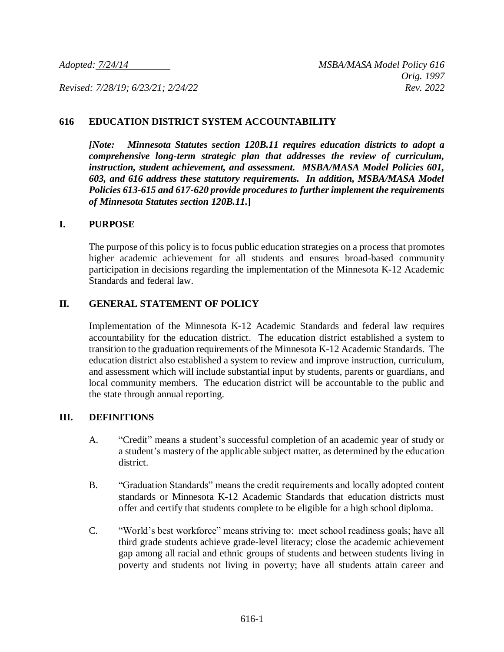*Revised: 7/28/19; 6/23/21; 2/24/22 Rev. 2022*

### **616 EDUCATION DISTRICT SYSTEM ACCOUNTABILITY**

*[Note: Minnesota Statutes section 120B.11 requires education districts to adopt a comprehensive long-term strategic plan that addresses the review of curriculum, instruction, student achievement, and assessment. MSBA/MASA Model Policies 601, 603, and 616 address these statutory requirements. In addition, MSBA/MASA Model Policies 613-615 and 617-620 provide procedures to further implement the requirements of Minnesota Statutes section 120B.11.***]**

#### **I. PURPOSE**

The purpose of this policy is to focus public education strategies on a process that promotes higher academic achievement for all students and ensures broad-based community participation in decisions regarding the implementation of the Minnesota K-12 Academic Standards and federal law.

## **II. GENERAL STATEMENT OF POLICY**

Implementation of the Minnesota K-12 Academic Standards and federal law requires accountability for the education district. The education district established a system to transition to the graduation requirements of the Minnesota K-12 Academic Standards. The education district also established a system to review and improve instruction, curriculum, and assessment which will include substantial input by students, parents or guardians, and local community members. The education district will be accountable to the public and the state through annual reporting.

#### **III. DEFINITIONS**

- A. "Credit" means a student's successful completion of an academic year of study or a student's mastery of the applicable subject matter, as determined by the education district.
- B. "Graduation Standards" means the credit requirements and locally adopted content standards or Minnesota K-12 Academic Standards that education districts must offer and certify that students complete to be eligible for a high school diploma.
- C. "World's best workforce" means striving to: meet school readiness goals; have all third grade students achieve grade-level literacy; close the academic achievement gap among all racial and ethnic groups of students and between students living in poverty and students not living in poverty; have all students attain career and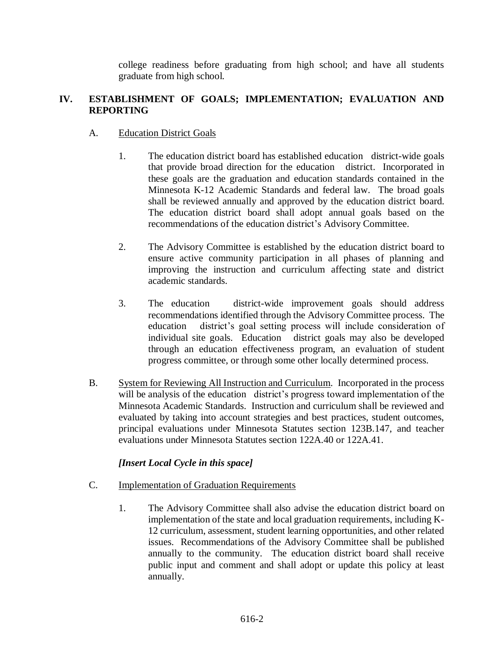college readiness before graduating from high school; and have all students graduate from high school.

## **IV. ESTABLISHMENT OF GOALS; IMPLEMENTATION; EVALUATION AND REPORTING**

## A. Education District Goals

- 1. The education district board has established education district-wide goals that provide broad direction for the education district. Incorporated in these goals are the graduation and education standards contained in the Minnesota K-12 Academic Standards and federal law. The broad goals shall be reviewed annually and approved by the education district board. The education district board shall adopt annual goals based on the recommendations of the education district's Advisory Committee.
- 2. The Advisory Committee is established by the education district board to ensure active community participation in all phases of planning and improving the instruction and curriculum affecting state and district academic standards.
- 3. The education district-wide improvement goals should address recommendations identified through the Advisory Committee process. The education district's goal setting process will include consideration of individual site goals. Education district goals may also be developed through an education effectiveness program, an evaluation of student progress committee, or through some other locally determined process.
- B. System for Reviewing All Instruction and Curriculum. Incorporated in the process will be analysis of the education district's progress toward implementation of the Minnesota Academic Standards. Instruction and curriculum shall be reviewed and evaluated by taking into account strategies and best practices, student outcomes, principal evaluations under Minnesota Statutes section 123B.147, and teacher evaluations under Minnesota Statutes section 122A.40 or 122A.41.

# *[Insert Local Cycle in this space]*

- C. Implementation of Graduation Requirements
	- 1. The Advisory Committee shall also advise the education district board on implementation of the state and local graduation requirements, including K-12 curriculum, assessment, student learning opportunities, and other related issues. Recommendations of the Advisory Committee shall be published annually to the community. The education district board shall receive public input and comment and shall adopt or update this policy at least annually.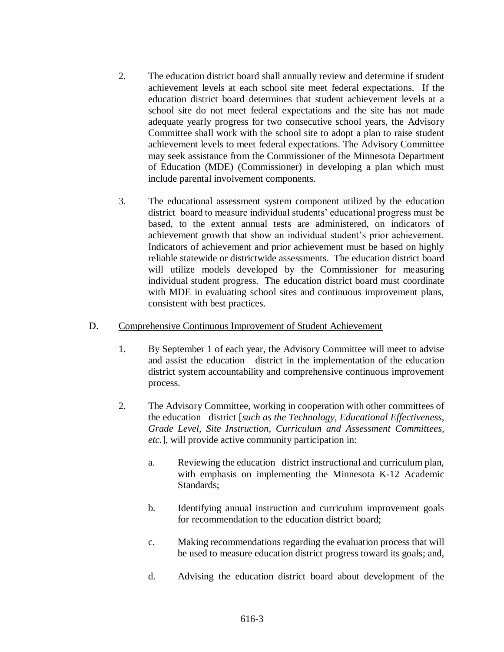- 2. The education district board shall annually review and determine if student achievement levels at each school site meet federal expectations. If the education district board determines that student achievement levels at a school site do not meet federal expectations and the site has not made adequate yearly progress for two consecutive school years, the Advisory Committee shall work with the school site to adopt a plan to raise student achievement levels to meet federal expectations. The Advisory Committee may seek assistance from the Commissioner of the Minnesota Department of Education (MDE) (Commissioner) in developing a plan which must include parental involvement components.
- 3. The educational assessment system component utilized by the education district board to measure individual students' educational progress must be based, to the extent annual tests are administered, on indicators of achievement growth that show an individual student's prior achievement. Indicators of achievement and prior achievement must be based on highly reliable statewide or districtwide assessments. The education district board will utilize models developed by the Commissioner for measuring individual student progress. The education district board must coordinate with MDE in evaluating school sites and continuous improvement plans, consistent with best practices.

## D. Comprehensive Continuous Improvement of Student Achievement

- 1. By September 1 of each year, the Advisory Committee will meet to advise and assist the education district in the implementation of the education district system accountability and comprehensive continuous improvement process.
- 2. The Advisory Committee, working in cooperation with other committees of the education district [*such as the Technology, Educational Effectiveness, Grade Level, Site Instruction, Curriculum and Assessment Committees, etc.*], will provide active community participation in:
	- a. Reviewing the education district instructional and curriculum plan, with emphasis on implementing the Minnesota K-12 Academic Standards;
	- b. Identifying annual instruction and curriculum improvement goals for recommendation to the education district board;
	- c. Making recommendations regarding the evaluation process that will be used to measure education district progress toward its goals; and,
	- d. Advising the education district board about development of the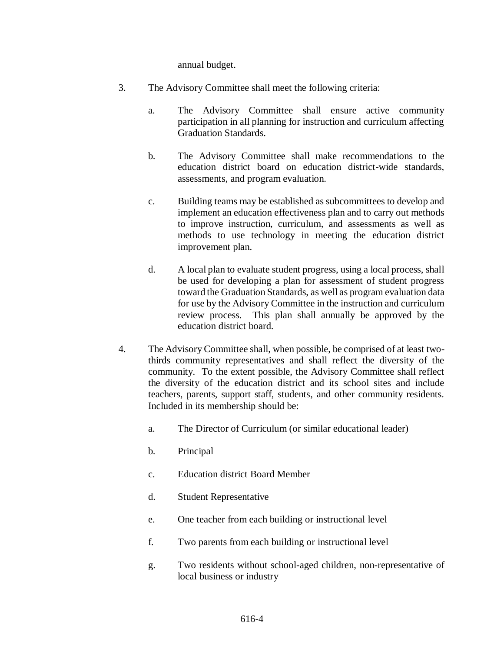annual budget.

- 3. The Advisory Committee shall meet the following criteria:
	- a. The Advisory Committee shall ensure active community participation in all planning for instruction and curriculum affecting Graduation Standards.
	- b. The Advisory Committee shall make recommendations to the education district board on education district-wide standards, assessments, and program evaluation.
	- c. Building teams may be established as subcommittees to develop and implement an education effectiveness plan and to carry out methods to improve instruction, curriculum, and assessments as well as methods to use technology in meeting the education district improvement plan.
	- d. A local plan to evaluate student progress, using a local process, shall be used for developing a plan for assessment of student progress toward the Graduation Standards, as well as program evaluation data for use by the Advisory Committee in the instruction and curriculum review process. This plan shall annually be approved by the education district board.
- 4. The Advisory Committee shall, when possible, be comprised of at least twothirds community representatives and shall reflect the diversity of the community. To the extent possible, the Advisory Committee shall reflect the diversity of the education district and its school sites and include teachers, parents, support staff, students, and other community residents. Included in its membership should be:
	- a. The Director of Curriculum (or similar educational leader)
	- b. Principal
	- c. Education district Board Member
	- d. Student Representative
	- e. One teacher from each building or instructional level
	- f. Two parents from each building or instructional level
	- g. Two residents without school-aged children, non-representative of local business or industry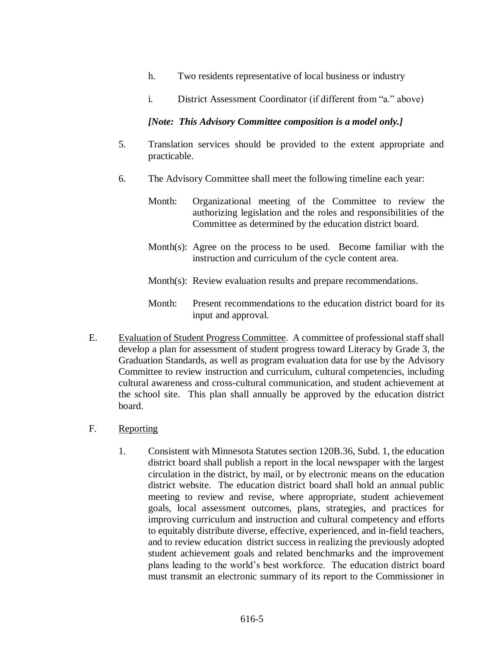- h. Two residents representative of local business or industry
- i. District Assessment Coordinator (if different from "a." above)

## *[Note: This Advisory Committee composition is a model only.]*

- 5. Translation services should be provided to the extent appropriate and practicable.
- 6. The Advisory Committee shall meet the following timeline each year:
	- Month: Organizational meeting of the Committee to review the authorizing legislation and the roles and responsibilities of the Committee as determined by the education district board.
	- Month(s): Agree on the process to be used. Become familiar with the instruction and curriculum of the cycle content area.
	- Month(s): Review evaluation results and prepare recommendations.
	- Month: Present recommendations to the education district board for its input and approval.
- E. Evaluation of Student Progress Committee. A committee of professional staff shall develop a plan for assessment of student progress toward Literacy by Grade 3, the Graduation Standards, as well as program evaluation data for use by the Advisory Committee to review instruction and curriculum, cultural competencies, including cultural awareness and cross-cultural communication, and student achievement at the school site. This plan shall annually be approved by the education district board.
- F. Reporting
	- 1. Consistent with Minnesota Statutes section 120B.36, Subd. 1, the education district board shall publish a report in the local newspaper with the largest circulation in the district, by mail, or by electronic means on the education district website. The education district board shall hold an annual public meeting to review and revise, where appropriate, student achievement goals, local assessment outcomes, plans, strategies, and practices for improving curriculum and instruction and cultural competency and efforts to equitably distribute diverse, effective, experienced, and in-field teachers, and to review education district success in realizing the previously adopted student achievement goals and related benchmarks and the improvement plans leading to the world's best workforce. The education district board must transmit an electronic summary of its report to the Commissioner in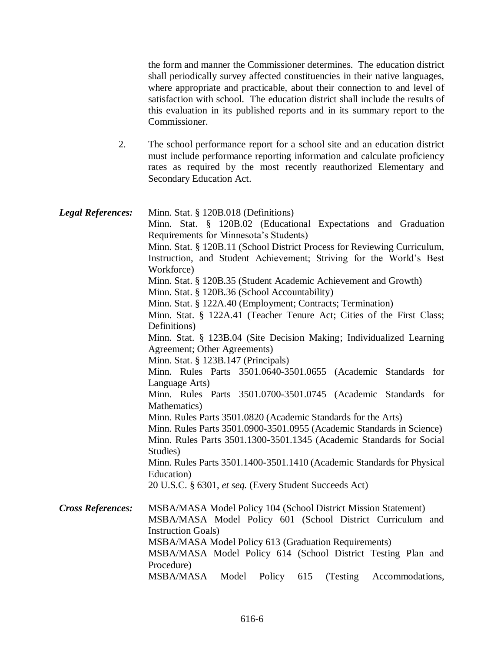the form and manner the Commissioner determines. The education district shall periodically survey affected constituencies in their native languages, where appropriate and practicable, about their connection to and level of satisfaction with school. The education district shall include the results of this evaluation in its published reports and in its summary report to the Commissioner.

2. The school performance report for a school site and an education district must include performance reporting information and calculate proficiency rates as required by the most recently reauthorized Elementary and Secondary Education Act.

| <b>Legal References:</b> | Minn. Stat. § 120B.018 (Definitions)                                     |
|--------------------------|--------------------------------------------------------------------------|
|                          | Minn. Stat. § 120B.02 (Educational Expectations and Graduation           |
|                          | Requirements for Minnesota's Students)                                   |
|                          | Minn. Stat. § 120B.11 (School District Process for Reviewing Curriculum, |
|                          | Instruction, and Student Achievement; Striving for the World's Best      |
|                          | Workforce)                                                               |
|                          | Minn. Stat. § 120B.35 (Student Academic Achievement and Growth)          |
|                          | Minn. Stat. § 120B.36 (School Accountability)                            |
|                          | Minn. Stat. § 122A.40 (Employment; Contracts; Termination)               |
|                          | Minn. Stat. § 122A.41 (Teacher Tenure Act; Cities of the First Class;    |
|                          | Definitions)                                                             |
|                          | Minn. Stat. § 123B.04 (Site Decision Making; Individualized Learning     |
|                          | Agreement; Other Agreements)                                             |
|                          | Minn. Stat. § 123B.147 (Principals)                                      |
|                          | Minn. Rules Parts 3501.0640-3501.0655 (Academic Standards for            |
|                          | Language Arts)                                                           |
|                          | Minn. Rules Parts 3501.0700-3501.0745 (Academic Standards for            |
|                          | Mathematics)                                                             |
|                          | Minn. Rules Parts 3501.0820 (Academic Standards for the Arts)            |
|                          | Minn. Rules Parts 3501.0900-3501.0955 (Academic Standards in Science)    |
|                          | Minn. Rules Parts 3501.1300-3501.1345 (Academic Standards for Social     |
|                          | Studies)                                                                 |
|                          | Minn. Rules Parts 3501.1400-3501.1410 (Academic Standards for Physical   |
|                          | Education)                                                               |
|                          | 20 U.S.C. § 6301, et seq. (Every Student Succeeds Act)                   |
| <b>Cross References:</b> | MSBA/MASA Model Policy 104 (School District Mission Statement)           |
|                          | MSBA/MASA Model Policy 601 (School District Curriculum and               |
|                          | <b>Instruction Goals</b> )                                               |
|                          | MSBA/MASA Model Policy 613 (Graduation Requirements)                     |
|                          | MSBA/MASA Model Policy 614 (School District Testing Plan and             |
|                          | Procedure)                                                               |
|                          | MSBA/MASA<br>Policy<br>Model<br>615<br>(Testing)<br>Accommodations,      |